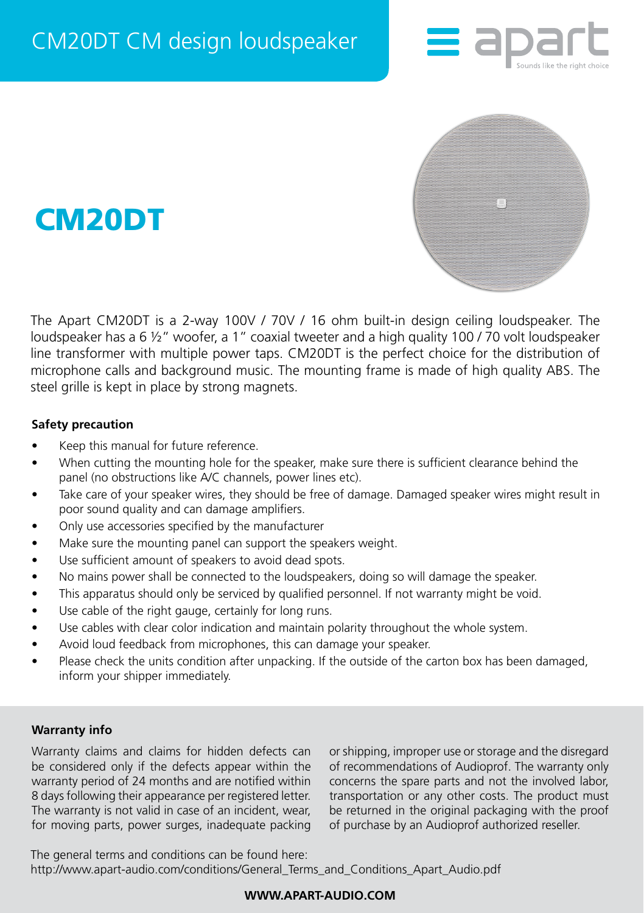





The Apart CM20DT is a 2-way 100V / 70V / 16 ohm built-in design ceiling loudspeaker. The loudspeaker has a 6 ½" woofer, a 1" coaxial tweeter and a high quality 100 / 70 volt loudspeaker line transformer with multiple power taps. CM20DT is the perfect choice for the distribution of microphone calls and background music. The mounting frame is made of high quality ABS. The steel grille is kept in place by strong magnets.

## **Safety precaution**

- Keep this manual for future reference.
- When cutting the mounting hole for the speaker, make sure there is sufficient clearance behind the panel (no obstructions like A/C channels, power lines etc).
- Take care of your speaker wires, they should be free of damage. Damaged speaker wires might result in poor sound quality and can damage amplifiers.
- Only use accessories specified by the manufacturer
- Make sure the mounting panel can support the speakers weight.
- Use sufficient amount of speakers to avoid dead spots.
- No mains power shall be connected to the loudspeakers, doing so will damage the speaker.
- This apparatus should only be serviced by qualified personnel. If not warranty might be void.
- Use cable of the right gauge, certainly for long runs.
- Use cables with clear color indication and maintain polarity throughout the whole system.
- Avoid loud feedback from microphones, this can damage your speaker.
- Please check the units condition after unpacking. If the outside of the carton box has been damaged, inform your shipper immediately.

## **Warranty info**

Warranty claims and claims for hidden defects can be considered only if the defects appear within the warranty period of 24 months and are notified within 8 days following their appearance per registered letter. The warranty is not valid in case of an incident, wear, for moving parts, power surges, inadequate packing or shipping, improper use or storage and the disregard of recommendations of Audioprof. The warranty only concerns the spare parts and not the involved labor, transportation or any other costs. The product must be returned in the original packaging with the proof of purchase by an Audioprof authorized reseller.

The general terms and conditions can be found here: [http://www.apart-audio.com/conditions/General\\_Terms\\_and\\_Conditions\\_Apart\\_Audio.pdf](http://www.apart-audio.com/conditions/General_Terms_and_Conditions_Audioprof.pdf)

# **WWW.APART-AUDIO.COM**